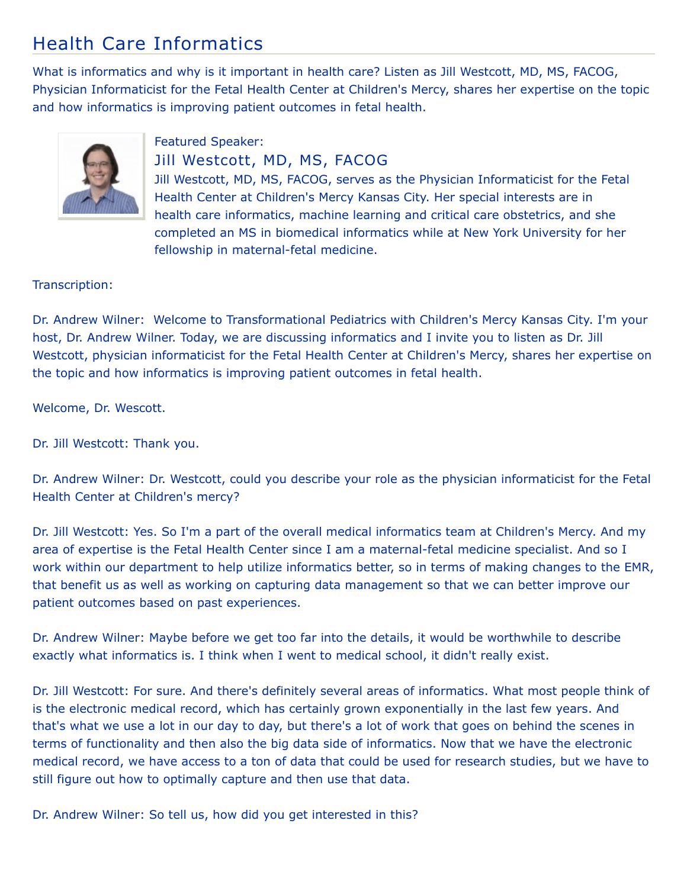## Health Care Informatics

What is informatics and why is it important in health care? Listen as Jill Westcott, MD, MS, FACOG, Physician Informaticist for the Fetal Health Center at Children's Mercy, shares her expertise on the topic and how informatics is improving patient outcomes in fetal health.



Featured Speaker: Jill Westcott, MD, MS, FACOG

Jill Westcott, MD, MS, FACOG, serves as the Physician Informaticist for the Fetal Health Center at Children's Mercy Kansas City. Her special interests are in health care informatics, machine learning and critical care obstetrics, and she completed an MS in biomedical informatics while at New York University for her fellowship in maternal-fetal medicine.

## Transcription:

Dr. Andrew Wilner: Welcome to Transformational Pediatrics with Children's Mercy Kansas City. I'm your host, Dr. Andrew Wilner. Today, we are discussing informatics and I invite you to listen as Dr. Jill Westcott, physician informaticist for the Fetal Health Center at Children's Mercy, shares her expertise on the topic and how informatics is improving patient outcomes in fetal health.

Welcome, Dr. Wescott.

Dr. Jill Westcott: Thank you.

Dr. Andrew Wilner: Dr. Westcott, could you describe your role as the physician informaticist for the Fetal Health Center at Children's mercy?

Dr. Jill Westcott: Yes. So I'm a part of the overall medical informatics team at Children's Mercy. And my area of expertise is the Fetal Health Center since I am a maternal-fetal medicine specialist. And so I work within our department to help utilize informatics better, so in terms of making changes to the EMR, that benefit us as well as working on capturing data management so that we can better improve our patient outcomes based on past experiences.

Dr. Andrew Wilner: Maybe before we get too far into the details, it would be worthwhile to describe exactly what informatics is. I think when I went to medical school, it didn't really exist.

Dr. Jill Westcott: For sure. And there's definitely several areas of informatics. What most people think of is the electronic medical record, which has certainly grown exponentially in the last few years. And that's what we use a lot in our day to day, but there's a lot of work that goes on behind the scenes in terms of functionality and then also the big data side of informatics. Now that we have the electronic medical record, we have access to a ton of data that could be used for research studies, but we have to still figure out how to optimally capture and then use that data.

Dr. Andrew Wilner: So tell us, how did you get interested in this?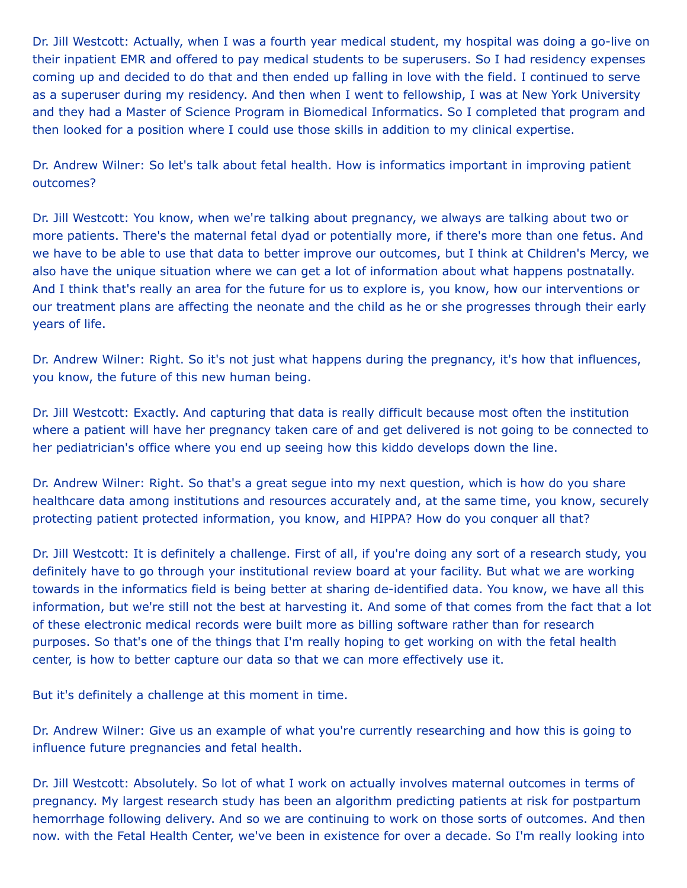Dr. Jill Westcott: Actually, when I was a fourth year medical student, my hospital was doing a go-live on their inpatient EMR and offered to pay medical students to be superusers. So I had residency expenses coming up and decided to do that and then ended up falling in love with the field. I continued to serve as a superuser during my residency. And then when I went to fellowship, I was at New York University and they had a Master of Science Program in Biomedical Informatics. So I completed that program and then looked for a position where I could use those skills in addition to my clinical expertise.

Dr. Andrew Wilner: So let's talk about fetal health. How is informatics important in improving patient outcomes?

Dr. Jill Westcott: You know, when we're talking about pregnancy, we always are talking about two or more patients. There's the maternal fetal dyad or potentially more, if there's more than one fetus. And we have to be able to use that data to better improve our outcomes, but I think at Children's Mercy, we also have the unique situation where we can get a lot of information about what happens postnatally. And I think that's really an area for the future for us to explore is, you know, how our interventions or our treatment plans are affecting the neonate and the child as he or she progresses through their early years of life.

Dr. Andrew Wilner: Right. So it's not just what happens during the pregnancy, it's how that influences, you know, the future of this new human being.

Dr. Jill Westcott: Exactly. And capturing that data is really difficult because most often the institution where a patient will have her pregnancy taken care of and get delivered is not going to be connected to her pediatrician's office where you end up seeing how this kiddo develops down the line.

Dr. Andrew Wilner: Right. So that's a great segue into my next question, which is how do you share healthcare data among institutions and resources accurately and, at the same time, you know, securely protecting patient protected information, you know, and HIPPA? How do you conquer all that?

Dr. Jill Westcott: It is definitely a challenge. First of all, if you're doing any sort of a research study, you definitely have to go through your institutional review board at your facility. But what we are working towards in the informatics field is being better at sharing de-identified data. You know, we have all this information, but we're still not the best at harvesting it. And some of that comes from the fact that a lot of these electronic medical records were built more as billing software rather than for research purposes. So that's one of the things that I'm really hoping to get working on with the fetal health center, is how to better capture our data so that we can more effectively use it.

But it's definitely a challenge at this moment in time.

Dr. Andrew Wilner: Give us an example of what you're currently researching and how this is going to influence future pregnancies and fetal health.

Dr. Jill Westcott: Absolutely. So lot of what I work on actually involves maternal outcomes in terms of pregnancy. My largest research study has been an algorithm predicting patients at risk for postpartum hemorrhage following delivery. And so we are continuing to work on those sorts of outcomes. And then now. with the Fetal Health Center, we've been in existence for over a decade. So I'm really looking into